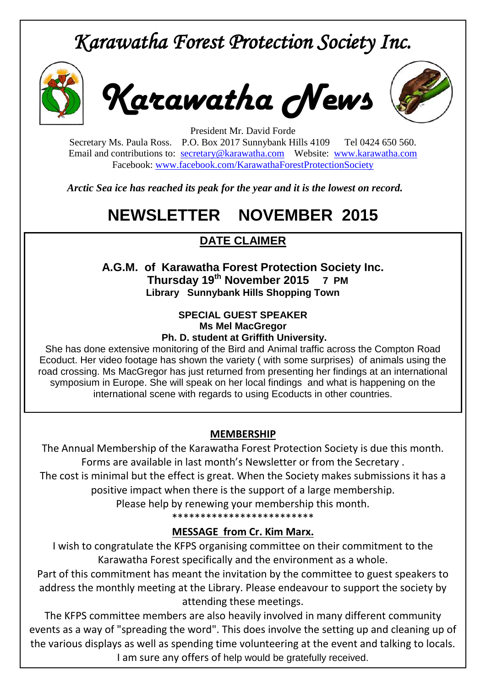# *Karawatha Forest Protection Society Inc.*



*Karawatha News*



President Mr. David Forde Secretary Ms. Paula Ross. P.O. Box 2017 Sunnybank Hills 4109 Tel 0424 650 560. Email and contributions to: [secretary@karawatha.com](mailto:secretary@karawatha.com) Website: [www.karawatha.com](http://www.karawatha.com/) Facebook: [www.facebook.com/KarawathaForestProtectionSociety](http://www.facebook.com/KarawathaForestProtectionSociety)

*Arctic Sea ice has reached its peak for the year and it is the lowest on record.*

## **NEWSLETTER NOVEMBER 2015**

## **DATE CLAIMER**

**A.G.M. of Karawatha Forest Protection Society Inc. Thursday 19th November 2015 7 PM Library Sunnybank Hills Shopping Town** 

#### **SPECIAL GUEST SPEAKER Ms Mel MacGregor Ph. D. student at Griffith University.**

She has done extensive monitoring of the Bird and Animal traffic across the Compton Road Ecoduct. Her video footage has shown the variety ( with some surprises) of animals using the road crossing. Ms MacGregor has just returned from presenting her findings at an international symposium in Europe. She will speak on her local findings and what is happening on the international scene with regards to using Ecoducts in other countries.

### **MEMBERSHIP**

The Annual Membership of the Karawatha Forest Protection Society is due this month. Forms are available in last month's Newsletter or from the Secretary . The cost is minimal but the effect is great. When the Society makes submissions it has a positive impact when there is the support of a large membership.

Please help by renewing your membership this month.

\*\*\*\*\*\*\*\*\*\*\*\*\*\*\*\*\*\*\*\*\*\*\*\*\*

### **MESSAGE from Cr. Kim Marx.**

I wish to congratulate the KFPS organising committee on their commitment to the Karawatha Forest specifically and the environment as a whole.

Part of this commitment has meant the invitation by the committee to guest speakers to address the monthly meeting at the Library. Please endeavour to support the society by attending these meetings.

The KFPS committee members are also heavily involved in many different community events as a way of "spreading the word". This does involve the setting up and cleaning up of the various displays as well as spending time volunteering at the event and talking to locals. I am sure any offers of help would be gratefully received.